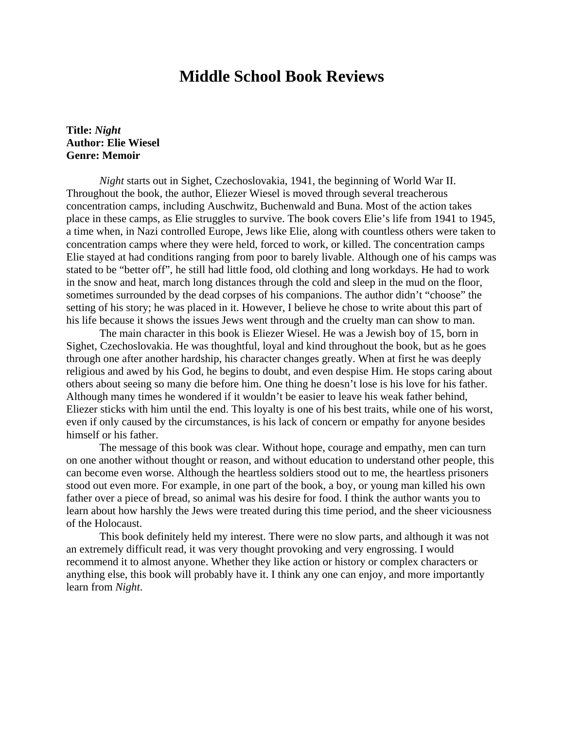## **Middle School Book Reviews**

## **Title:** *Night* **Author: Elie Wiesel Genre: Memoir**

*Night* starts out in Sighet, Czechoslovakia, 1941, the beginning of World War II. Throughout the book, the author, Eliezer Wiesel is moved through several treacherous concentration camps, including Auschwitz, Buchenwald and Buna. Most of the action takes place in these camps, as Elie struggles to survive. The book covers Elie's life from 1941 to 1945, a time when, in Nazi controlled Europe, Jews like Elie, along with countless others were taken to concentration camps where they were held, forced to work, or killed. The concentration camps Elie stayed at had conditions ranging from poor to barely livable. Although one of his camps was stated to be "better off", he still had little food, old clothing and long workdays. He had to work in the snow and heat, march long distances through the cold and sleep in the mud on the floor, sometimes surrounded by the dead corpses of his companions. The author didn't "choose" the setting of his story; he was placed in it. However, I believe he chose to write about this part of his life because it shows the issues Jews went through and the cruelty man can show to man.

 The main character in this book is Eliezer Wiesel. He was a Jewish boy of 15, born in Sighet, Czechoslovakia. He was thoughtful, loyal and kind throughout the book, but as he goes through one after another hardship, his character changes greatly. When at first he was deeply religious and awed by his God, he begins to doubt, and even despise Him. He stops caring about others about seeing so many die before him. One thing he doesn't lose is his love for his father. Although many times he wondered if it wouldn't be easier to leave his weak father behind, Eliezer sticks with him until the end. This loyalty is one of his best traits, while one of his worst, even if only caused by the circumstances, is his lack of concern or empathy for anyone besides himself or his father.

 The message of this book was clear. Without hope, courage and empathy, men can turn on one another without thought or reason, and without education to understand other people, this can become even worse. Although the heartless soldiers stood out to me, the heartless prisoners stood out even more. For example, in one part of the book, a boy, or young man killed his own father over a piece of bread, so animal was his desire for food. I think the author wants you to learn about how harshly the Jews were treated during this time period, and the sheer viciousness of the Holocaust.

 This book definitely held my interest. There were no slow parts, and although it was not an extremely difficult read, it was very thought provoking and very engrossing. I would recommend it to almost anyone. Whether they like action or history or complex characters or anything else, this book will probably have it. I think any one can enjoy, and more importantly learn from *Night*.